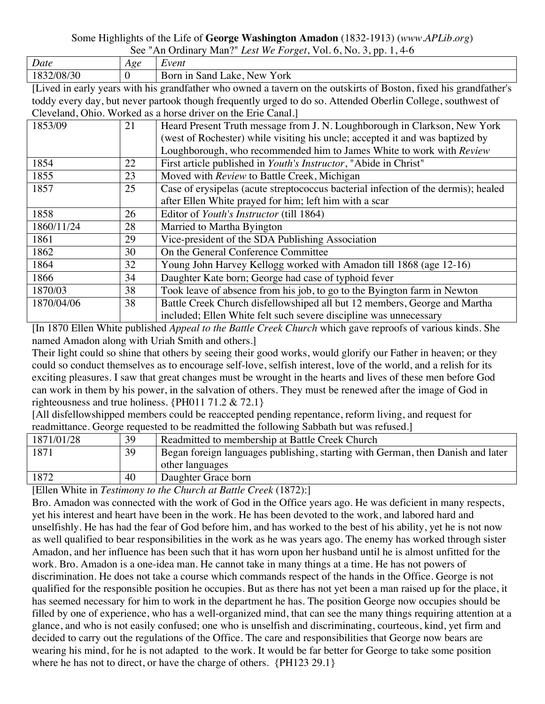## Some Highlights of the Life of **George Washington Amadon** (1832-1913) (*www.APLib.org*)

| Date                          | Age | Event                                |
|-------------------------------|-----|--------------------------------------|
| $\sim$<br>v<br>708/30<br>1024 |     | Y ork<br>n in Sand Lake, New<br>Born |

[Lived in early years with his grandfather who owned a tavern on the outskirts of Boston, fixed his grandfather's toddy every day, but never partook though frequently urged to do so. Attended Oberlin College, southwest of Cleveland, Ohio. Worked as a horse driver on the Erie Canal.]

| Civ renance, Only reported as a holde direct on the Eric Canaly |    |                                                                                    |  |  |
|-----------------------------------------------------------------|----|------------------------------------------------------------------------------------|--|--|
| 1853/09                                                         | 21 | Heard Present Truth message from J. N. Loughborough in Clarkson, New York          |  |  |
|                                                                 |    | (west of Rochester) while visiting his uncle; accepted it and was baptized by      |  |  |
|                                                                 |    | Loughborough, who recommended him to James White to work with Review               |  |  |
| 1854                                                            | 22 | First article published in <i>Youth's Instructor</i> , "Abide in Christ"           |  |  |
| 1855                                                            | 23 | Moved with Review to Battle Creek, Michigan                                        |  |  |
| 1857                                                            | 25 | Case of erysipelas (acute streptococcus bacterial infection of the dermis); healed |  |  |
|                                                                 |    | after Ellen White prayed for him; left him with a scar                             |  |  |
| 1858                                                            | 26 | Editor of Youth's Instructor (till 1864)                                           |  |  |
| 1860/11/24                                                      | 28 | Married to Martha Byington                                                         |  |  |
| 1861                                                            | 29 | Vice-president of the SDA Publishing Association                                   |  |  |
| 1862                                                            | 30 | On the General Conference Committee                                                |  |  |
| 1864                                                            | 32 | Young John Harvey Kellogg worked with Amadon till 1868 (age 12-16)                 |  |  |
| 1866                                                            | 34 | Daughter Kate born; George had case of typhoid fever                               |  |  |
| 1870/03                                                         | 38 | Took leave of absence from his job, to go to the Byington farm in Newton           |  |  |
| 1870/04/06                                                      | 38 | Battle Creek Church disfellowshiped all but 12 members, George and Martha          |  |  |
|                                                                 |    | included; Ellen White felt such severe discipline was unnecessary                  |  |  |

[In 1870 Ellen White published *Appeal to the Battle Creek Church* which gave reproofs of various kinds. She named Amadon along with Uriah Smith and others.]

Their light could so shine that others by seeing their good works, would glorify our Father in heaven; or they could so conduct themselves as to encourage self-love, selfish interest, love of the world, and a relish for its exciting pleasures. I saw that great changes must be wrought in the hearts and lives of these men before God can work in them by his power, in the salvation of others. They must be renewed after the image of God in righteousness and true holiness. {PH011 71.2 & 72.1}

[All disfellowshipped members could be reaccepted pending repentance, reform living, and request for readmittance. George requested to be readmitted the following Sabbath but was refused.]

| 1871/01/28 | 39 | Readmitted to membership at Battle Creek Church                                 |
|------------|----|---------------------------------------------------------------------------------|
| 1871       | 39 | Began foreign languages publishing, starting with German, then Danish and later |
|            |    | other languages                                                                 |
| 1872       | 40 | Daughter Grace born                                                             |

[Ellen White in *Testimony to the Church at Battle Creek* (1872):]

Bro. Amadon was connected with the work of God in the Office years ago. He was deficient in many respects, yet his interest and heart have been in the work. He has been devoted to the work, and labored hard and unselfishly. He has had the fear of God before him, and has worked to the best of his ability, yet he is not now as well qualified to bear responsibilities in the work as he was years ago. The enemy has worked through sister Amadon, and her influence has been such that it has worn upon her husband until he is almost unfitted for the work. Bro. Amadon is a one-idea man. He cannot take in many things at a time. He has not powers of discrimination. He does not take a course which commands respect of the hands in the Office. George is not qualified for the responsible position he occupies. But as there has not yet been a man raised up for the place, it has seemed necessary for him to work in the department he has. The position George now occupies should be filled by one of experience, who has a well-organized mind, that can see the many things requiring attention at a glance, and who is not easily confused; one who is unselfish and discriminating, courteous, kind, yet firm and decided to carry out the regulations of the Office. The care and responsibilities that George now bears are wearing his mind, for he is not adapted to the work. It would be far better for George to take some position where he has not to direct, or have the charge of others. {PH123 29.1}